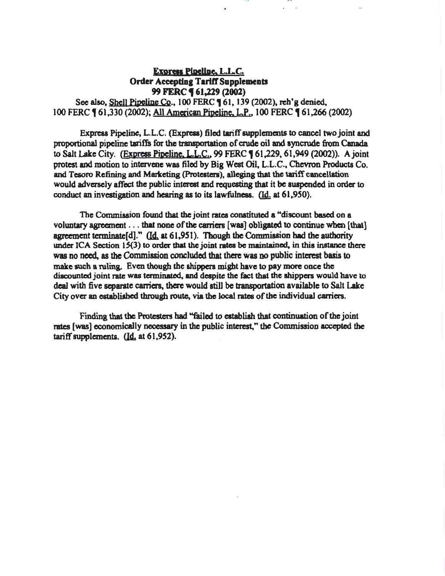# Express Pipeline, L.L.C. Order Accepting Tariff Supplements 99 FERC **(61,229 (2002)**

See also, Shell Pipeline Co., 100 FERC **1** 61, 139 (2002), reh'g denied, 100 FERC **[61,330 (2002); All American Pipeline, L.P., 100 FERC [61,266 (2002)** 

Exprcas Pipeline, L.L.C. (Express) filed tariff supplements to cancel two joint and proportional pipeline tariffs for the transportation of crude oil and ayncrude from Canada to Salt Lake City. (Express Pipeline, L.L.C., 99 FERC 161,229, 61,949 (2002)). A joint protest and motion to intervene was filed by Big West Oil. L.L.C., Chevron Products Co. and Tesoro Refining and Marketing (Protesters), alleging that the tariff cancellation would adversely affect the public interest and requesting that it be suspended in order to conduct an investigation and hearing as to its lawfulness.  $(Id. at 61,950).$ 

The Commission found that the joint rates constituted a "discount based on a voluntary agreement  $\dots$  that none of the carriers [was] obligated to continue when [that] agreement terminate $[d]$ ." ( $[d]$  at 61,951). Though the Commission had the authority under ICA Section  $15(3)$  to order that the joint rates be maintained, in this instance there was no need, as the Commission concluded that there was no public interest basis to make such a ruling. Even though the ahippers might have to pay more once the discounted joint rate was terminated, and despite the fact that the shippers would have to deal with five separate carriers, there would still be transportation available to Salt Lake City over an cstabliahed through route, via the local rates of the individual carriers.

Finding that the Protesters bad "failed to establish that continuation of the joint rates [was] economically necessary in the public interest," the Commissioa accepted the tariff supplements.  $(Id, at 61,952)$ .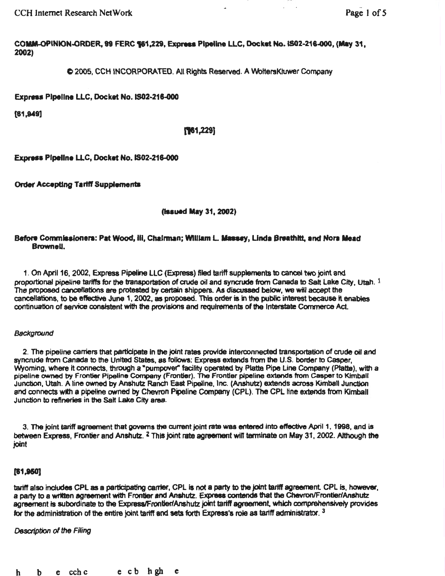CCH Internet Research NetWork **Page 1 of 5** 

COMM-OPINION-ORDER, 99 FERC 561,229, Express Pipeline LLC, Docket No. IS02-216-000, (May 31, 2002)

C 2005, CCH INCORPORATED. All Rights Reserved. A WottersKiuwer Company

Express Pipeline LLC, Docket No. IS02-216-000

[81,949]

### **[161,229]**

Express Pipeline LLC, Docket No. IS02-216-000

Order Accepting Tartff Supplements

(lasued May 31, 2002)

### Before Commissioners: Pat Wood, III, Chairman; WIIIIam L. Massey, Linda Breathitt, and Nora Mead Brownell.

1. On April 16, 2002, Express Pipeline LLC (Express) filed tariff supplements to cancel two joint and proportional pipeline tariffs for the transportation of crude oil and syncrude from Canada to Salt Lake City, Utah. 1 The proposed cancellations are protested by certain shippers. As discussed below, we will accept the cancellations, to be effective June 1, 2002, as proposed. This order is In the public inttwest because it enables continuation of service consistent with the provisions and requirements of the Interstate Commerce Act.

### **Background**

2. The pipeline carriers that participate In the joint rates provide interconnected transportation of crude oil and syncrude from Canada to the United States, as follows: Express extends from the U.S. border to casper, Vyoming, where it connects, through a "pumpover" facility operated by Platte Pipe Line Company (Platte), with a pipeline owned by Frontier Pipeline Company (Frontier). The Frontier pipeline extends from Casper to Kimball Junction, Utah. A line owned by Anshutz Ranch East Pipeline, Inc. (Anshutz) extends across Kimball Junction and connects with a pipeline owned by Chevron Pipeline Company (CPL). The CPL line extends from Kimball Junction to refineries in the Satt Lake City area.

3. The joint tariff agreement that governs the current joint rats was entered Into effective April 1, 1998, and i8 between Express, Frontier and Anshutz. <sup>2</sup> This joint rate agreement will terminate on May 31, 2002. Although the joint

### (81,150]

tariff also includes CPL as a participating carrier, CPL is not a party to the joint tariff agreement. CPL is, however, a party to a written agreement with Frontier and Anshutz. Express contends that the Cheyron/Frontier/Anshutz agreement is subordinate to the Express/Frontien/Anshutz joint tariff agreement, which comprehensively provides for the administration of the entire joint tariff and sets forth Express's role as tariff administrator.  $3$ 

*Description* of the FHing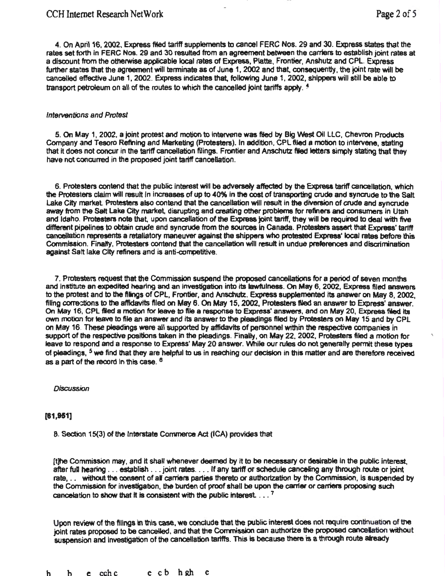4. On April16, 2002, Express filed tartff supplements to cancel FERC Nos. 29 and 30. Express states that the rates set forth in FERC Nos. 29 and 30 resulted from an agreement between the carriers to establish joint rates at a discount from the otherwise applicable local rates of Express, Platte, Frontier, Anshutz and CPL. Express further states that the agreement will terminate as of June 1, 2002 and that, consequently, the joint rate will be cancelled effective June 1, 2002. Express indicates that, following June 1, 2002, shippers will still be able to transport petroleum on all of the routes to which the cancelled joint tariffs apply.  $4$ 

#### Interventions and Protest

5. On May 1, 2002. a joint protest and motion to Intervene was filed by Big 'Nest Oil LLC. Chevron Products Company and Tesoro Refining and Marketing (Protesters). In addition. CPL filed a motion to intervene, stating that it does not concur in the tariff cancellation filings. Frontier and Anschutz filed letters simply stating that they have not concuned in the proposed joint tariff cancellation.

6. Protesters contend that the public Interest will be adversely affected by the Express tariff cancellation, which the Protesters claim will result in increases of up to 40% in the cost of transporting crude and syncrude to the Salt lake City market Protesters also contend that the cancellation will result in the diversion of crude and synaude away from the Salt Lake City market, disrupting and creating other problems for refiners and consumers in Utah and Idaho. Protesters note that. upon cancellation of the Express joint tariff, they will be required to deal with five different pipelines to obtain crude and syncrude from the sources in Canada. Protesters assert that Express' tariff cancellation represents a retaliatory maneuver against the shippers who protested Express' local rates before this Commission. Finally, Protesters contend that the cancellation will result in undue preferences and discrimination against Salt lake City refiners and is anti-competitive.

7. Protesters request that the Commission suspend the proposed cancellations for a period of seven months and institute an expedited hearing and an investigation into its lawfulness. On May 6, 2002, Express filed answers to the protest and to the filings of CPL, Frontier, and Anschutz. Express supplemented its answer on May 8, 2002, filing corrections to the affidavits filed on May 6. On May 15, 2002, Protesters filed an answer to Express' answer. On May 16, CPL filed a motion for leave to file a response to Express' answers, and on May 20, Express filed its own motion for leave to file an answer and its answer to the pleadings filed by Protesters on May 15 and by CPL on May 16. These pleadings were all supported by affidavits of personnel within the respective companies in support of the respective positions taken in the pleadings. Finally, on May 22, 2002, Protesters filed a motion for leave to respond and a response to Express' May 20 answer. 'Nhile our rules do not generally permit these types of pleadings, <sup>5</sup> we find that they are helpful to us in reaching our decision in this matter and are therefore received as a part of the record in this case. <sup>6</sup>

### **Discussion**

### [81,951]

B. Section 15(3) of the Interstate CorMlef'Ce *Ad* (ICA) provides that

(t)he Commission may, and It shaH whenever deemed by it to be necessary or desirable In the public Interest. after full hearing . . . establish . . . joint rates. . . . If any tariff or schedule canceling any through route or joint rate, .. without the consent of all carriers parties thereto or authorization by the Commission, is suspended by the Commission for investigation, the burden of proof shall be upon the carrier or carriers proposing such cancelation to show that it is consistent with the public interest.  $\ldots$ <sup>7</sup>

Upon review of the filings in this case, we conduide that the public interest does rot require continuation of the joint rates proposed to be cancelled, and that the Commission can authorize the proposed cancelation without suspension and investigation of the cancellation tariffs. This is because there is a through route already

h b e cchc e cb hgh e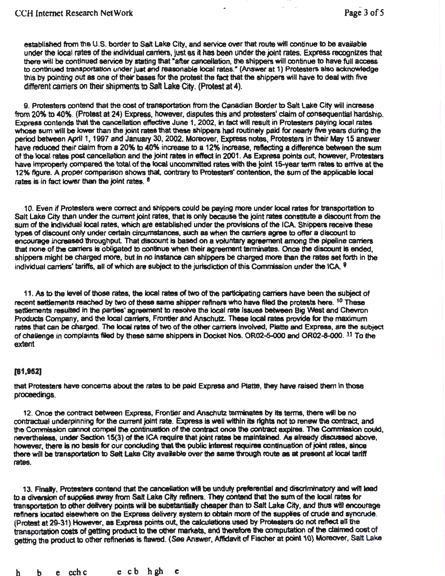established from the U.S. border to Salt Lake City, and service over that route will continue to be available under the local rates of the individual cantefs, just as it has been under the joint rates. Express recognizes that there will be continued service by stating that "after cancellation, the shippers will continue to have full access to continued transportation under just and reasonable local rates." (Answer at 1) Protesters also acknowledge this by pointing out as one of their bases for the protest the fact that the shippers will have to deal with five different carriers on their shipments to Salt Lake City. (Protest at 4).

9. Protesters contend that the cost of transportation from the Canadian Border to Salt Lake City will increase from 20% to 40%. (Protest at 24) Express, however, disputes this and protesters' claim of consequential hardship. Express contend& that the canoellation effective June 1, 2002, In fact will result in Protesters paying local rates whose sum will be lower than the joint rates that these shippers had routinely paid for nearty five years during the period between April 1, 1997 and January 30, 2002. Moreover, Express notes, Protesters in their May 15 answer have reduced their claim from a 20% to 40% increase to a 12% increase, reflecting a difference between the sum of the local rates post cancellation and the joint rates in effect in 2001. As Express points out, however, Protesters have improperly compared the total of the local uncommitted rates with the joint 15-year term rates to arrive at the 12% figure. A proper comparison shows that. contrary to Protesters' contention, the sum of the applicable 1ocat rates is in fact lower than the joint rates.  $a$ 

1 0. Even if Protesters were correct and shippers could be paying more under local rates for transportation to Salt Lake City than under the current joint rates, that is only because the joint rates constitute a discount from the sum of the individual local rates, which are established under the provisions of the ICA. Shippers receive these types of discount only under certain circumstances, such as when the carriers agree to offer a disoount to encourage increased throughput. That discount is based on a voluntary agreement among the pipeline carriers that none of the carriers is obligated to continue when their agreement terminates. Once the discount is ended, shippers might be charged more, but in no instance can shippers be charged more than the rates set forth in the individual carriers' tariffs, all of which are subject to the jurisdiction of this Commission under the ICA. <sup>9</sup>

11. As to the level of those rates, the local rates *at* two of the particlpatlng carriers have been the subject of recent settlements reached by two of these same shipper refiners who have filed the protests here. <sup>10</sup> These settlements resulted in the parties' agreement to resolve the local rate issues between Big West and Chevron Products Company, and the local carriers, Frontier and Anschutz. These local rates provide for the maximum rates that can be charged. The local rates of two of the other camera Involved, Patte and Express, are the subject of challenge in complaints filed by these same shippers in Docket Nos. OR02-5-000 and OR02-8-000. 11 To the extent

### [81,952]

that Protesters have concerns about the rates to be paid Express and Platte, they have raised them in those proceedings.

12. Once the contract between Express, Frontier and Anschutz terminates by its terms, there will be no contractual underpinning for the current joint rate. Express is well within its rights not to renew the contract, and the Commission cannot compel the continuation of the contract once the contract expires. The Commission could, nevertheless, under Section 15(3) of the ICA require that joint rates be maintained. As already discussed above, however, there is no basis for our concluding that the public interest requires continuation of joint rates, since there will be transportation to Salt Lake City available over the same through route as at present at local tariff rates.

13. Finally, Protesters contend that the cancellation will be unduly preferential and discriminatory and will lead to a diversion of suppies wny from Salt Lake City reftners. They contend that the sum of the local rates for transportation to other delivery points will be substantially cheaper than to Salt Lake City, and thus will encourage refiners located elsewhere on the Express delivery system to obtain more of the supplies of crude and syncrude. (Protest at 29-31) However, as Express points out, the calculations used by Protesters do not reflect all the transportation costs of getting product to the other markets, and therefore the computation of the claimed cost of getting the product to other refineries is flawed. (See Answer, Affidavit of Fischer at point 10) Moreover, Salt Lake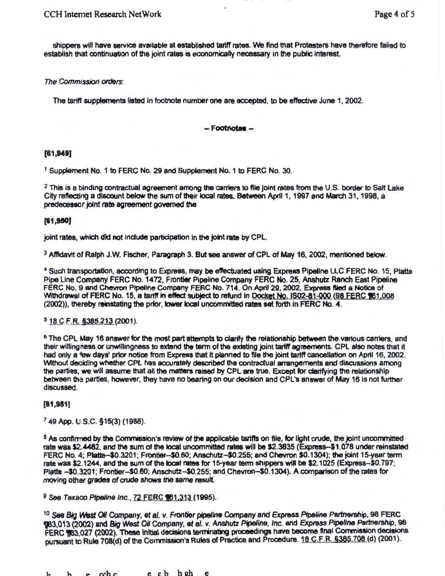shippers will have service available at established tariff rates. We find that Protesters have therefore failed to establish that continuation of the joint rates is economically necessary in the public interest.

The Commission *orcJers:* 

The tariff suppfements listed in footnote number one are accepted, to be effective June 1, 2002.

### - Footnotes -

### (61,949]

<sup>1</sup> Supplement No. 1 to FERC No. 29 and Supplement No. 1 to FERC No. 30.

 $2$  This is a binding contractual agreement among the carriers to file joint rates from the U.S. border to Salt Lake City reflecting a discount below the sum of their local rates. Between April 1, 1997 and March 31, 1998, a predecessor joint rate agreement governed the

### (61,950]

joint rates, which did not include participation in the joint rate by CPL.

 $3$  Affidavit of Ralph J.W. Fischer, Paragraph 3. But see answer of CPL of May 16, 2002, mentioned below.

<sup>4</sup> Such transportation, according to Express, may be effectuated using Express Pipeline LLC FERC No. 15, Platte Pipe Line Company FERC No. 1472, Frontier Pipeline Company FERC No. 25, Anshutz Ranch East Pipeline FERC No. 9 and Chevron Plpeilne Company FERC No. 714. On April 29, 2002, Express Ned a Notice of 'Mthdrawal of FERC No. 15, a tariff in effect subject to refund In Docket No. 1\$02-§1-QOO (98 EERC 161 .008 (2002)), thereby reinstating the prior, lower local uncommitted rates set forth in FERC No. 4.

### $5$  18 C.F.R.  $$385.213$  (2001).

<sup>6</sup> The CPL May 16 answer for the most part attempts to clarify the relationship between the various carriers, and their willingness or unwillingness to extend the term of the existing joint tariff agreements. CPL also notes that it had only a few days' prior notice from Express that it planned to file the joint tariff cancellation on April 16, 2002. 'Mthout deciding whether CPL has accurately described the contractual arrangements and discussions among the parties, we will assume that all the matters raised by CPL are true. Except for clarifying the relationship between the parties, however, they have no bearing on our decision and CPL's answer of May 16 is not further discussed.

### [81,951)

<sup>7</sup>49 App. u.s.c. §15(3) (1988).

<sup>6</sup> As confirmed by the Commission's review of the applicable tartiffs on file, for light crude, the joint uncommitted rate was \$2.4482, and the sum of the local uncommitted rates will be \$2.3835 (Express-\$1.078 under reinstated FERC No.4; Platle-\$0.3201; Frontier-\$0.60; Anschutz-\$0.255; and Chevron \$0.1304); the joint 15-year tenn rate was \$2.1244, and the sum of the local rates for 15-year term shippers will be \$2.1025 (Express-\$0.797; Platte -\$0.3201; Frontier-\$0.60; Anschutz-\$0.255; and Chevron-\$0.1304). A comparison of the rates for moving other grades of crude shows the same result.

9 See Texaco Pipeline Inc., 72 FERC 161,313 (1995).

to See *Big West Oil* Company, et al. v. Frontier pipeline Company and Express Ptpeljne *Partnership,* 98 FERC ~3.013 (2002) and Big West OiJ Company, et al. v. Anshutz *PfJeline,* Inc. and Express p;penne ~IShip, 98 FERC \63,027 (2002). These initial decisions terminating proceedings have become final Commission decisions pursuant to Rule 708(d) of the Commission's Rules of Practice and Procedure. 18 C.F.R. §385.708 (d) (2001).

h b e cchc e cb h2h e